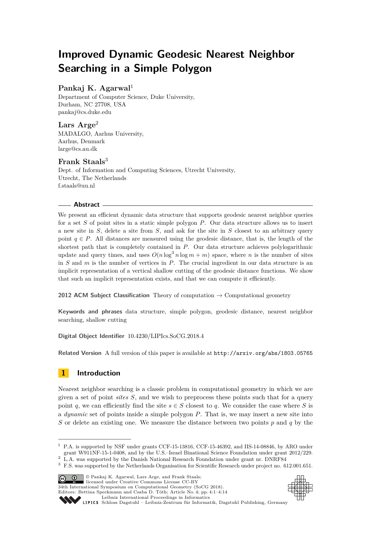# **Improved Dynamic Geodesic Nearest Neighbor Searching in a Simple Polygon**

### **Pankaj K. Agarwal**<sup>1</sup>

Department of Computer Science, Duke University, Durham, NC 27708, USA [pankaj@cs.duke.edu](mailto:pankaj@cs.duke.edu)

**Lars Arge**<sup>2</sup> MADALGO, Aarhus University, Aarhus, Denmark [large@cs.au.dk](mailto:large@cs.au.dk)

### **Frank Staals**<sup>3</sup>

Dept. of Information and Computing Sciences, Utrecht University, Utrecht, The Netherlands [f.staals@uu.nl](mailto:f.staals@uu.nl)

### **Abstract**

We present an efficient dynamic data structure that supports geodesic nearest neighbor queries for a set *S* of point sites in a static simple polygon *P*. Our data structure allows us to insert a new site in *S*, delete a site from *S*, and ask for the site in *S* closest to an arbitrary query point  $q \in P$ . All distances are measured using the geodesic distance, that is, the length of the shortest path that is completely contained in *P*. Our data structure achieves polylogarithmic update and query times, and uses  $O(n \log^3 n \log m + m)$  space, where *n* is the number of sites in *S* and *m* is the number of vertices in *P*. The crucial ingredient in our data structure is an implicit representation of a vertical shallow cutting of the geodesic distance functions. We show that such an implicit representation exists, and that we can compute it efficiently.

**2012 ACM Subject Classification** Theory of computation → Computational geometry

**Keywords and phrases** data structure, simple polygon, geodesic distance, nearest neighbor searching, shallow cutting

**Digital Object Identifier** [10.4230/LIPIcs.SoCG.2018.4](http://dx.doi.org/10.4230/LIPIcs.SoCG.2018.4)

**Related Version** A full version of this paper is available at <http://arxiv.org/abs/1803.05765>

# **1 Introduction**

Nearest neighbor searching is a classic problem in computational geometry in which we are given a set of point *sites S*, and we wish to preprocess these points such that for a query point *q*, we can efficiently find the site  $s \in S$  closest to *q*. We consider the case where *S* is a *dynamic* set of points inside a simple polygon *P*. That is, we may insert a new site into *S* or delete an existing one. We measure the distance between two points *p* and *q* by the

<sup>3</sup> F.S. was supported by the Netherlands Organisation for Scientific Research under project no. 612.001.651.





Editors: Bettina Speckmann and Csaba D. Tóth; Article No. 4; pp. 4:1–4[:14](#page-13-0) [Leibniz International Proceedings in Informatics](http://www.dagstuhl.de/lipics/)

<sup>1</sup> P.A. is supported by NSF under grants CCF-15-13816, CCF-15-46392, and IIS-14-08846, by ARO under grant W911NF-15-1-0408, and by the U.S.–Israel Binational Science Foundation under grant 2012/229. <sup>2</sup> L.A. was supported by the Danish National Research Foundation under grant nr. DNRF84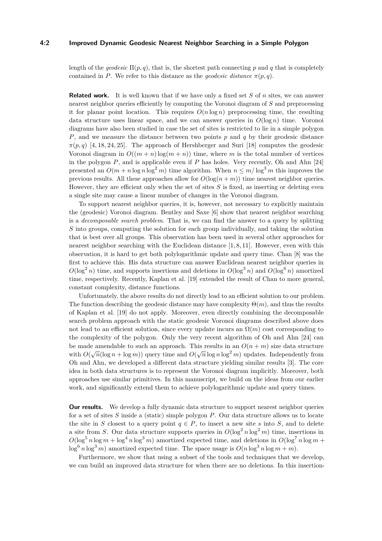#### **4:2 Improved Dynamic Geodesic Nearest Neighbor Searching in a Simple Polygon**

length of the *geodesic*  $\Pi(p, q)$ , that is, the shortest path connecting p and q that is completely contained in *P*. We refer to this distance as the *geodesic distance*  $\pi(p,q)$ .

**Related work.** It is well known that if we have only a fixed set *S* of *n* sites, we can answer nearest neighbor queries efficiently by computing the Voronoi diagram of *S* and preprocessing it for planar point location. This requires  $O(n \log n)$  preprocessing time, the resulting data structure uses linear space, and we can answer queries in  $O(\log n)$  time. Voronoi diagrams have also been studied in case the set of sites is restricted to lie in a simple polygon *P*, and we measure the distance between two points *p* and *q* by their geodesic distance  $\pi(p,q)$  [\[4,](#page-12-0) [18,](#page-13-1) [24,](#page-13-2) [25\]](#page-13-3). The approach of Hershberger and Suri [\[18\]](#page-13-1) computes the geodesic Voronoi diagram in  $O((m+n)\log(m+n))$  time, where *m* is the total number of vertices in the polygon *P*, and is applicable even if *P* has holes. Very recently, Oh and Ahn [\[24\]](#page-13-2) presented an  $O(m + n \log n \log^2 m)$  time algorithm. When  $n \leq m/\log^3 m$  this improves the previous results. All these approaches allow for  $O(\log(n+m))$  time nearest neighbor queries. However, they are efficient only when the set of sites *S* is fixed, as inserting or deleting even a single site may cause a linear number of changes in the Voronoi diagram.

To support nearest neighbor queries, it is, however, not necessary to explicitly maintain the (geodesic) Voronoi diagram. Bentley and Saxe [\[6\]](#page-12-1) show that nearest neighbor searching is a *decomposable search problem*. That is, we can find the answer to a query by splitting *S* into groups, computing the solution for each group individually, and taking the solution that is best over all groups. This observation has been used in several other approaches for nearest neighbor searching with the Euclidean distance  $[1, 8, 11]$  $[1, 8, 11]$  $[1, 8, 11]$ . However, even with this observation, it is hard to get both polylogarithmic update and query time. Chan [\[8\]](#page-12-3) was the first to achieve this. His data structure can answer Euclidean nearest neighbor queries in  $O(\log^2 n)$  time, and supports insertions and deletions in  $O(\log^3 n)$  and  $O(\log^6 n)$  amortized time, respectively. Recently, Kaplan et al. [\[19\]](#page-13-4) extended the result of Chan to more general, constant complexity, distance functions.

Unfortunately, the above results do not directly lead to an efficient solution to our problem. The function describing the geodesic distance may have complexity  $\Theta(m)$ , and thus the results of Kaplan et al. [\[19\]](#page-13-4) do not apply. Moreover, even directly combining the decomposable search problem approach with the static geodesic Voronoi diagrams described above does not lead to an efficient solution, since every update incurs an  $\Omega(m)$  cost corresponding to the complexity of the polygon. Only the very recent algorithm of Oh and Ahn [\[24\]](#page-13-2) can be made amendable to such an approach. This results in an  $O(n+m)$  size data structure with  $O(\sqrt{n}(\log n + \log m))$  query time and  $O(\sqrt{n} \log n \log^2 m)$  updates. Independently from Oh and Ahn, we developed a different data structure yielding similar results [\[3\]](#page-12-5). The core idea in both data structures is to represent the Voronoi diagram implicitly. Moreover, both approaches use similar primitives. In this manuscript, we build on the ideas from our earlier work, and significantly extend them to achieve polylogarithmic update and query times.

**Our results.** We develop a fully dynamic data structure to support nearest neighbor queries for a set of sites *S* inside a (static) simple polygon *P*. Our data structure allows us to locate the site in *S* closest to a query point  $q \in P$ , to insert a new site *s* into *S*, and to delete a site from *S*. Our data structure supports queries in  $O(\log^2 n \log^2 m)$  time, insertions in  $O(\log^5 n \log m + \log^4 n \log^3 m)$  amortized expected time, and deletions in  $O(\log^7 n \log m +$  $\log^6 n \log^3 m$  amortized expected time. The space usage is  $O(n \log^3 n \log m + m)$ .

Furthermore, we show that using a subset of the tools and techniques that we develop, we can build an improved data structure for when there are no deletions. In this insertion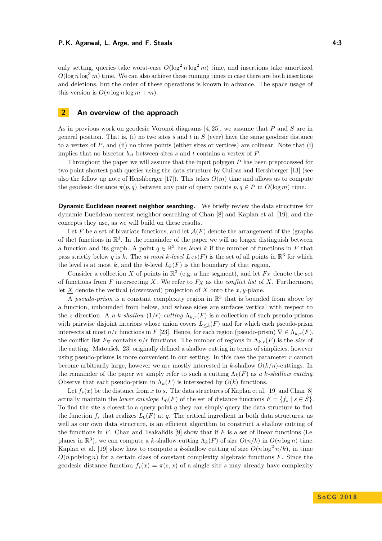only setting, queries take worst-case  $O(\log^2 n \log^2 m)$  time, and insertions take amortized  $O(\log n \log^3 m)$  time. We can also achieve these running times in case there are both insertions and deletions, but the order of these operations is known in advance. The space usage of this version is  $O(n \log n \log m + m)$ .

### **2 An overview of the approach**

As in previous work on geodesic Voronoi diagrams [\[4,](#page-12-0) [25\]](#page-13-3), we assume that *P* and *S* are in general position. That is, (i) no two sites *s* and *t* in *S* (ever) have the same geodesic distance to a vertex of *P*, and (ii) no three points (either sites or vertices) are colinear. Note that (i) implies that no bisector  $b_{st}$  between sites  $s$  and  $t$  contains a vertex of  $P$ .

Throughout the paper we will assume that the input polygon *P* has been preprocessed for two-point shortest path queries using the data structure by Guibas and Hershberger [\[13\]](#page-12-6) (see also the follow up note of Hershberger [\[17\]](#page-13-5)). This takes  $O(m)$  time and allows us to compute the geodesic distance  $\pi(p,q)$  between any pair of query points  $p,q \in P$  in  $O(\log m)$  time.

**Dynamic Euclidean nearest neighbor searching.** We briefly review the data structures for dynamic Euclidean nearest neighbor searching of Chan [\[8\]](#page-12-3) and Kaplan et al. [\[19\]](#page-13-4), and the concepts they use, as we will build on these results.

Let F be a set of bivariate functions, and let  $\mathcal{A}(F)$  denote the arrangement of the (graphs of the) functions in  $\mathbb{R}^3$ . In the remainder of the paper we will no longer distinguish between a function and its graph. A point  $q \in \mathbb{R}^3$  has *level k* if the number of functions in *F* that pass strictly below *q* is *k*. The *at most k-level*  $L_{\leq k}(F)$  is the set of all points in  $\mathbb{R}^3$  for which the level is at most  $k$ , and the  $k$ -level  $L_k(F)$  is the boundary of that region.

Consider a collection *X* of points in  $\mathbb{R}^3$  (e.g. a line segment), and let  $F_X$  denote the set of functions from *F* intersecting *X*. We refer to  $F_X$  as the *conflict list* of *X*. Furthermore, let  $X$  denote the vertical (downward) projection of  $X$  onto the  $x, y$ -plane.

A *pseudo-prism* is a constant complexity region in  $\mathbb{R}^3$  that is bounded from above by a function, unbounded from below, and whose sides are surfaces vertical with respect to the *z*-direction. A *a k*-shallow  $(1/r)$ -cutting  $\Lambda_{k,r}(F)$  is a collection of such pseudo-prisms with pairwise disjoint interiors whose union covers  $L_{\leq k}(F)$  and for which each pseudo-prism intersects at most  $n/r$  functions in *F* [\[23\]](#page-13-6). Hence, for each region (pseudo-prism)  $\nabla \in \Lambda_{k,r}(F)$ , the conflict list  $F_\nabla$  contains  $n/r$  functions. The number of regions in  $\Lambda_{k,r}(F)$  is the *size* of the cutting. Matoušek [\[23\]](#page-13-6) originally defined a shallow cutting in terms of simplicies, however using pseudo-prisms is more convenient in our setting. In this case the parameter *r* cannot become arbitrarily large, however we are mostly interested in *k*-shallow  $O(k/n)$ -cuttings. In the remainder of the paper we simply refer to such a cutting  $\Lambda_k(F)$  as *a k*-shallow cutting. Observe that each pseudo-prism in  $\Lambda_k(F)$  is intersected by  $O(k)$  functions.

Let  $f_s(x)$  be the distance from x to s. The data structures of Kaplan et al. [\[19\]](#page-13-4) and Chan [\[8\]](#page-12-3) actually maintain the *lower envelope*  $L_0(F)$  of the set of distance functions  $F = \{f_s \mid s \in S\}$ . To find the site *s* closest to a query point *q* they can simply query the data structure to find the function  $f_s$  that realizes  $L_0(F)$  at *q*. The critical ingredient in both data structures, as well as our own data structure, is an efficient algorithm to construct a shallow cutting of the functions in  $F$ . Chan and Tsakalidis [\[9\]](#page-12-7) show that if  $F$  is a set of linear functions (i.e. planes in  $\mathbb{R}^3$ ), we can compute a *k*-shallow cutting  $\Lambda_k(F)$  of size  $O(n/k)$  in  $O(n \log n)$  time. Kaplan et al. [\[19\]](#page-13-4) show how to compute a *k*-shallow cutting of size  $O(n \log^2 n/k)$ , in time  $O(n \text{ polylog } n)$  for a certain class of constant complexity algebraic functions *F*. Since the geodesic distance function  $f_s(x) = \pi(s, x)$  of a single site *s* may already have complexity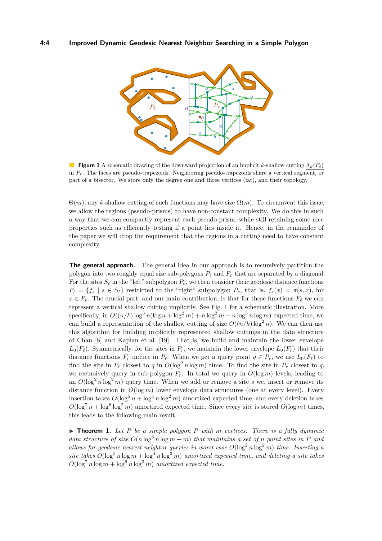<span id="page-3-0"></span>

**Figure 1** A schematic drawing of the downward projection of an implicit *k*-shallow cutting  $\Lambda_k(F_\ell)$ in *Pr*. The faces are pseudo-trapezoids. Neighboring pseudo-trapezoids share a vertical segment, or part of a bisector. We store only the degree one and three vertices (fat), and their topology.

 $\Theta(m)$ , any *k*-shallow cutting of such functions may have size  $\Omega(m)$ . To circumvent this issue, we allow the regions (pseudo-prisms) to have non-constant complexity. We do this in such a way that we can compactly represent each pseudo-prism, while still retaining some nice properties such as efficiently testing if a point lies inside it. Hence, in the remainder of the paper we will drop the requirement that the regions in a cutting need to have constant complexity.

**The general approach.** The general idea in our approach is to recursively partition the polygon into two roughly equal size sub-polygons  $P_\ell$  and  $P_r$  that are separated by a diagonal. For the sites  $S_\ell$  in the "left" subpolygon  $P_\ell$ , we then consider their geodesic distance functions  $F_{\ell} = \{f_s | s \in S_{\ell}\}\$  restricted to the "right" subpolygon  $P_r$ , that is,  $f_s(x) = \pi(s, x)$ , for  $x \in P_r$ . The crucial part, and our main contribution, is that for these functions  $F_\ell$  we can represent a vertical shallow cutting implicitly. See Fig. [1](#page-3-0) for a schematic illustration. More specifically, in  $O((n/k)\log^3 n(\log n + \log^2 m) + n\log^2 m + n\log^3 n\log m)$  expected time, we can build a representation of the shallow cutting of size  $O((n/k)\log^2 n)$ . We can then use this algorithm for building implicitly represented shallow cuttings in the data structure of Chan [\[8\]](#page-12-3) and Kaplan et al. [\[19\]](#page-13-4). That is, we build and maintain the lower envelope  $L_0(F_\ell)$ . Symmetrically, for the sites in  $P_r$ , we maintain the lower envelope  $L_0(F_r)$  that their distance functions  $F_r$  induce in  $P_\ell$ . When we get a query point  $q \in P_r$ , we use  $L_0(F_\ell)$  to find the site in  $P_\ell$  closest to *q* in  $O(\log^2 n \log m)$  time. To find the site in  $P_r$  closest to *q*, we recursively query in sub-polygon  $P_r$ . In total we query in  $O(\log m)$  levels, leading to an  $O(\log^2 n \log^2 m)$  query time. When we add or remove a site *s* we, insert or remove its distance function in  $O(\log m)$  lower envelope data structures (one at every level). Every insertion takes  $O(\log^5 n + \log^4 n \log^2 m)$  amortized expected time, and every deletion takes  $O(\log^7 n + \log^6 \log^2 m)$  amortized expected time. Since every site is stored  $O(\log m)$  times, this leads to the following main result.

<span id="page-3-1"></span> $\triangleright$  **Theorem 1.** Let P be a simple polygon P with m vertices. There is a fully dynamic *data structure of size*  $O(n \log^3 n \log m + m)$  *that maintains a set of n point sites in P and allows for geodesic nearest neighbor queries in worst case*  $O(\log^2 n \log^2 m)$  *time. Inserting a site takes*  $O(\log^5 n \log m + \log^4 n \log^3 m)$  *amortized expected time, and deleting a site takes*  $O(\log^7 n \log m + \log^6 n \log^3 m)$  *amortized expected time.*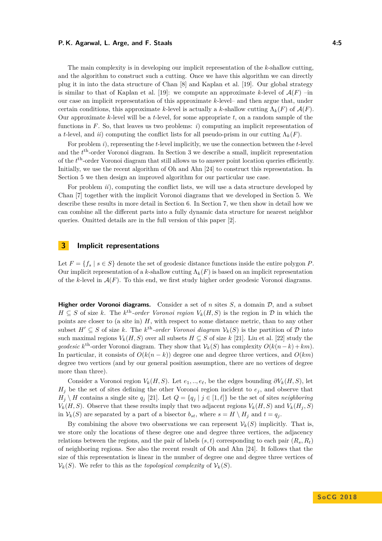#### **P. K. Agarwal, L. Arge, and F. Staals 4:5**

The main complexity is in developing our implicit representation of the *k*-shallow cutting, and the algorithm to construct such a cutting. Once we have this algorithm we can directly plug it in into the data structure of Chan [\[8\]](#page-12-3) and Kaplan et al. [\[19\]](#page-13-4). Our global strategy is similar to that of Kaplan et al. [\[19\]](#page-13-4): we compute an approximate *k*-level of  $\mathcal{A}(F)$  –in our case an implicit representation of this approximate *k*-level– and then argue that, under certain conditions, this approximate *k*-level is actually a *k*-shallow cutting  $\Lambda_k(F)$  of  $\mathcal{A}(F)$ . Our approximate *k*-level will be a *t*-level, for some appropriate *t*, on a random sample of the functions in *F*. So, that leaves us two problems: *i*) computing an implicit representation of a *t*-level, and *ii*) computing the conflict lists for all pseudo-prism in our cutting  $\Lambda_k(F)$ .

For problem *i*), representing the *t*-level implicitly, we use the connection between the *t*-level and the  $t<sup>th</sup>$ -order Voronoi diagram. In Section [3](#page-4-0) we describe a small, implicit representation of the  $t<sup>th</sup>$ -order Voronoi diagram that still allows us to answer point location queries efficiently. Initially, we use the recent algorithm of Oh and Ahn [\[24\]](#page-13-2) to construct this representation. In Section [5](#page-7-0) we then design an improved algorithm for our particular use case.

For problem *ii*), computing the conflict lists, we will use a data structure developed by Chan [\[7\]](#page-12-8) together with the implicit Voronoi diagrams that we developed in Section [5.](#page-7-0) We describe these results in more detail in Section [6.](#page-8-0) In Section [7,](#page-11-0) we then show in detail how we can combine all the different parts into a fully dynamic data structure for nearest neighbor queries. Omitted details are in the full version of this paper [\[2\]](#page-12-9).

### <span id="page-4-0"></span>**3 Implicit representations**

Let  $F = \{f_s \mid s \in S\}$  denote the set of geodesic distance functions inside the entire polygon *P*. Our implicit representation of a *k*-shallow cutting  $\Lambda_k(F)$  is based on an implicit representation of the  $k$ -level in  $A(F)$ . To this end, we first study higher order geodesic Voronoi diagrams.

**Higher order Voronoi diagrams.** Consider a set of *n* sites  $S$ , a domain  $D$ , and a subset *H* ⊆ *S* of size *k*. The *k*<sup>th</sup>-order Voronoi region  $V_k(H, S)$  is the region in  $D$  in which the points are closer to (a site in) *H*, with respect to some distance metric, than to any other subset  $H' \subseteq S$  of size *k*. The *k*<sup>th</sup>-order Voronoi diagram  $V_k(S)$  is the partition of  $D$  into such maximal regions  $V_k(H, S)$  over all subsets  $H \subseteq S$  of size  $k$  [\[21\]](#page-13-7). Liu et al. [\[22\]](#page-13-8) study the *geodesic*  $k^{\text{th}}$ -order Voronoi diagram. They show that  $V_k(S)$  has complexity  $O(k(n-k)+km)$ . In particular, it consists of  $O(k(n-k))$  degree one and degree three vertices, and  $O(km)$ degree two vertices (and by our general position assumption, there are no vertices of degree more than three).

Consider a Voronoi region  $V_k(H, S)$ . Let  $e_1, \ldots, e_\ell$ , be the edges bounding  $\partial V_k(H, S)$ , let  $H_j$  be the set of sites defining the other Voronoi region incident to  $e_j$ , and observe that  $H_i \setminus H$  contains a single site  $q_i$  [\[21\]](#page-13-7). Let  $Q = \{q_i | j \in [1, \ell]\}$  be the set of sites *neighboring*  $V_k(H, S)$ . Observe that these results imply that two adjacent regions  $V_k(H, S)$  and  $V_k(H_i, S)$ in  $V_k(S)$  are separated by a part of a bisector  $b_{st}$ , where  $s = H \setminus H_i$  and  $t = q_i$ .

By combining the above two observations we can represent  $\mathcal{V}_k(S)$  implicitly. That is, we store only the locations of these degree one and degree three vertices, the adjacency relations between the regions, and the pair of labels  $(s, t)$  corresponding to each pair  $(R_s, R_t)$ of neighboring regions. See also the recent result of Oh and Ahn [\[24\]](#page-13-2). It follows that the size of this representation is linear in the number of degree one and degree three vertices of  $V_k(S)$ . We refer to this as the *topological complexity* of  $V_k(S)$ .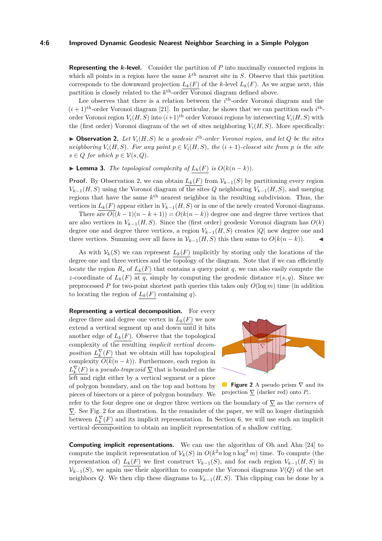#### **4:6 Improved Dynamic Geodesic Nearest Neighbor Searching in a Simple Polygon**

**Representing the** *k***-level.** Consider the partition of *P* into maximally connected regions in which all points in a region have the same  $k^{\text{th}}$  nearest site in *S*. Observe that this partition corresponds to the downward projection  $L_k(F)$  of the *k*-level  $L_k(F)$ . As we argue next, this partition is closely related to the  $k^{\text{th}}$ -order Voronoi diagram defined above.

Lee observes that there is a relation between the *i*<sup>th</sup>-order Voronoi diagram and the  $(i+1)$ <sup>th</sup>-order Voronoi diagram [\[21\]](#page-13-7). In particular, he shows that we can partition each  $i$ <sup>th</sup>order Voronoi region  $V_i(H, S)$  into  $(i+1)$ <sup>th</sup> order Voronoi regions by intersecting  $V_i(H, S)$  with the (first order) Voronoi diagram of the set of sites neighboring  $V_i(H, S)$ . More specifically:

<span id="page-5-0"></span> $\triangleright$  **Observation 2.** Let  $V_i(H, S)$  be a geodesic i<sup>th</sup>-order Voronoi region, and let Q be the sites *neighboring*  $V_i(H, S)$ *. For any point*  $p \in V_i(H, S)$ *, the*  $(i + 1)$ *-closest site from*  $p$  *is the site*  $s \in Q$  *for which*  $p \in V(s, Q)$ *.* 

▶ **Lemma 3.** *The topological complexity of*  $L_k(F)$  *is*  $O(k(n-k))$ *.* 

**Proof.** By Observation [2,](#page-5-0) we can obtain  $L_k(F)$  from  $\mathcal{V}_{k-1}(S)$  by partitioning every region  $V_{k-1}(H, S)$  using the Voronoi diagram of the sites *Q* neighboring  $V_{k-1}(H, S)$ , and merging regions that have the same *k* th nearest neighbor in the resulting subdivision. Thus, the vertices in  $L_k(F)$  appear either in  $V_{k-1}(H, S)$  or in one of the newly created Voronoi diagrams.

There are  $O((k-1)(n-k+1)) = O(k(n-k))$  degree one and degree three vertices that are also vertices in  $V_{k-1}(H, S)$ . Since the (first order) geodesic Voronoi diagram has  $O(k)$ degree one and degree three vertices, a region  $V_{k-1}(H, S)$  creates |*Q*| new degree one and three vertices. Summing over all faces in  $\mathcal{V}_{k-1}(H, S)$  this then sums to  $O(k(n-k))$ .

As with  $V_k(S)$  we can represent  $L_k(F)$  implicitly by storing only the locations of the degree one and three vertices and the topology of the diagram. Note that if we can efficiently locate the region  $R_s$  of  $L_k(F)$  that contains a query point q, we can also easily compute the *z*-coordinate of  $L_k(F)$  at *q*, simply by computing the geodesic distance  $\pi(s,q)$ . Since we preprocessed *P* for two-point shortest path queries this takes only *O*(log *m*) time (in addition to locating the region of  $L_k(F)$  containing *q*).

**Representing a vertical decomposition.** For every degree three and degree one vertex in  $L_k(F)$  we now extend a vertical segment up and down until it hits another edge of  $L_k(F)$ . Observe that the topological complexity of the resulting *implicit vertical decomposition*  $L_k^{\nabla}(F)$  that we obtain still has topological complexity  $O(k(n-k))$ . Furthermore, each region in  $L_k^{\nabla}(F)$  is a *pseudo-trapezoid*  $\Sigma$  that is bounded on the left and right either by a vertical segment or a piece of polygon boundary, and on the top and bottom by pieces of bisectors or a piece of polygon boundary. We

<span id="page-5-1"></span>

■ **Figure 2** A pseudo prism  $\nabla$  and its projection  $\nabla$  (darker red) onto  $P_r$ .

refer to the four degree one or degree three vertices on the boundary of ∇ as the *corners* of  $\nabla$ . See Fig. [2](#page-5-1) for an illustration. In the remainder of the paper, we will no longer distinguish between  $L_k^{\nabla}(F)$  and its implicit representation. In Section [6,](#page-8-0) we will use such an implicit vertical decomposition to obtain an implicit representation of a shallow cutting.

**Computing implicit representations.** We can use the algorithm of Oh and Ahn [\[24\]](#page-13-2) to compute the implicit representation of  $V_k(S)$  in  $O(k^2 n \log n \log^2 m)$  time. To compute (the representation of)  $L_k(F)$  we first construct  $\mathcal{V}_{k-1}(S)$ , and for each region  $V_{k-1}(H, S)$  in  $V_{k-1}(S)$ , we again use their algorithm to compute the Voronoi diagrams  $V(Q)$  of the set neighbors *Q*. We then clip these diagrams to  $V_{k-1}(H, S)$ . This clipping can be done by a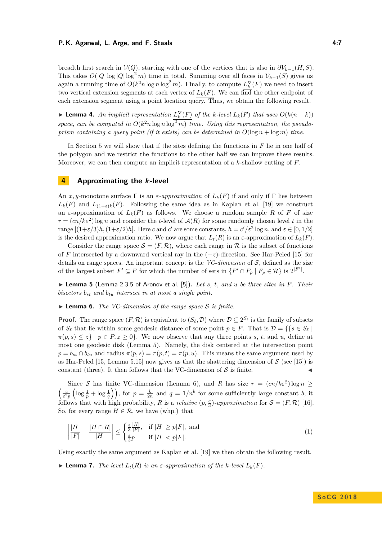#### **P. K. Agarwal, L. Arge, and F. Staals 4:7 All and All and All and All and All and All and All and All and All and All and All and All and All and All and All and All and All and All and All and All and All and All and A**

breadth first search in  $V(Q)$ , starting with one of the vertices that is also in  $\partial V_{k-1}(H, S)$ . This takes  $O(|Q|\log |Q|\log^2 m)$  time in total. Summing over all faces in  $\mathcal{V}_{k-1}(S)$  gives us again a running time of  $O(k^2 n \log n \log^2 m)$ . Finally, to compute  $L_k^{\nabla}(F)$  we need to insert two vertical extension segments at each vertex of  $L_k(F)$ . We can find the other endpoint of each extension segment using a point location query. Thus, we obtain the following result.

<span id="page-6-2"></span>► **Lemma 4.** An implicit representation  $L_k^{\nabla}(F)$  of the *k*-level  $L_k(F)$  that uses  $O(k(n-k))$ space, can be computed in  $O(k^2 n \log n \log^2 m)$  time. Using this representation, the pseudo*prism containing a query point (if it exists) can be determined in*  $O(\log n + \log m)$  *time.* 

In Section [5](#page-7-0) we will show that if the sites defining the functions in *F* lie in one half of the polygon and we restrict the functions to the other half we can improve these results. Moreover, we can then compute an implicit representation of a *k*-shallow cutting of *F*.

### <span id="page-6-3"></span>**4 Approximating the** *k***-level**

An *x*, y-monotone surface  $\Gamma$  is an *ε*-approximation of  $L_k(F)$  if and only if  $\Gamma$  lies between  $L_k(F)$  and  $L_{(1+\varepsilon)k}(F)$ . Following the same idea as in Kaplan et al. [\[19\]](#page-13-4) we construct an  $\varepsilon$ -approximation of  $L_k(F)$  as follows. We choose a random sample R of F of size  $r = (cn/k\varepsilon^2) \log n$  and consider the *t*-level of  $\mathcal{A}(R)$  for some randomly chosen level *t* in the range  $[(1+\varepsilon/3)h, (1+\varepsilon/2)h]$ . Here *c* and *c'* are some constants,  $h = c'/\varepsilon^2 \log n$ , and  $\varepsilon \in [0, 1/2]$ is the desired approximation ratio. We now argue that  $L_t(R)$  is an  $\varepsilon$ -approximation of  $L_k(F)$ .

Consider the range space  $\mathcal{S} = (F, \mathcal{R})$ , where each range in  $\mathcal{R}$  is the subset of functions of *F* intersected by a downward vertical ray in the  $(-z)$ -direction. See Har-Peled [\[15\]](#page-13-9) for details on range spaces. An important concept is the *VC-dimension* of  $S$ , defined as the size of the largest subset  $F' \subseteq F$  for which the number of sets in  $\{F' \cap F_{\rho} \mid F_{\rho} \in \mathcal{R}\}$  is  $2^{|F'|}$ .

<span id="page-6-0"></span>I **Lemma 5** (Lemma 2.3.5 of Aronov et al. [\[5\]](#page-12-10))**.** *Let s, t, and u be three sites in P. Their bisectors*  $b_{st}$  *and*  $b_{tu}$  *intersect in at most a single point.* 

<span id="page-6-1"></span> $\blacktriangleright$  **Lemma 6.** *The VC-dimension of the range space* S *is finite.* 

**Proof.** The range space  $(F, \mathcal{R})$  is equivalent to  $(S_{\ell}, \mathcal{D})$  where  $\mathcal{D} \subseteq 2^{S_{\ell}}$  is the family of subsets of  $S_\ell$  that lie within some geodesic distance of some point  $p \in P$ . That is  $\mathcal{D} = \{ \{ s \in S_\ell \mid s \in S_\ell \}$  $\pi(p, s) \leq z$  |  $p \in P, z \geq 0$ . We now observe that any three points *s*, *t*, and *u*, define at most one geodesic disk (Lemma [5\)](#page-6-0). Namely, the disk centered at the intersection point  $p = b_{st} \cap b_{tu}$  and radius  $\pi(p, s) = \pi(p, t) = \pi(p, u)$ . This means the same argument used by as Har-Peled [\[15,](#page-13-9) Lemma 5.15] now gives us that the shattering dimension of  $S$  (see [\[15\]](#page-13-9)) is constant (three). It then follows that the VC-dimension of  $S$  is finite.

Since S has finite VC-dimension (Lemma [6\)](#page-6-1), and R has size  $r = (cn/k\varepsilon^2) \log n \ge$  $\left(\frac{c}{\varepsilon^2 p}\left(\log\frac{1}{p}+\log\frac{1}{q}\right)\right)$ , for  $p=\frac{k}{2n}$  and  $q=1/n^b$  for some sufficiently large constant *b*, it follows that with high probability, *R* is a *relative*  $(p, \frac{\varepsilon}{3})$ *-approximation* for  $\mathcal{S} = (F, \mathcal{R})$  [\[16\]](#page-13-10). So, for every range  $H \in \mathcal{R}$ , we have (whp.) that

$$
\left|\frac{|H|}{|F|} - \frac{|H \cap R|}{|H|}\right| \le \begin{cases} \frac{\varepsilon}{3} \frac{|H|}{|F|}, & \text{if } |H| \ge p|F|, \text{ and} \\ \frac{\varepsilon}{3}p & \text{if } |H| < p|F|. \end{cases} \tag{1}
$$

Using exactly the same argument as Kaplan et al. [\[19\]](#page-13-4) we then obtain the following result.

 $\blacktriangleright$  **Lemma 7.** *The level*  $L_t(R)$  *is an*  $\varepsilon$ *-approximation of the k-level*  $L_k(F)$ *.*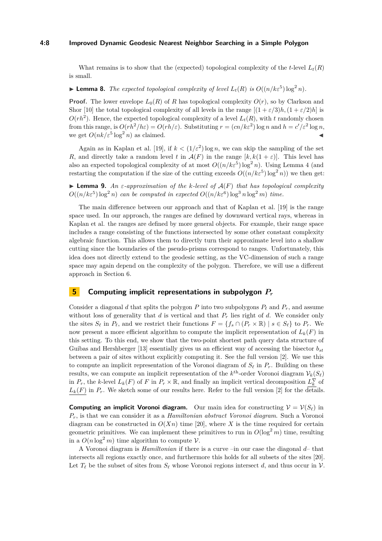#### **4:8 Improved Dynamic Geodesic Nearest Neighbor Searching in a Simple Polygon**

What remains is to show that the (expected) topological complexity of the *t*-level  $L_t(R)$ is small.

## <span id="page-7-1"></span>**Example 1** Lemma 8. *The expected topological complexity of level*  $L_t(R)$  *is*  $O((n/k\varepsilon^5) \log^2 n)$ *.*

**Proof.** The lower envelope  $L_0(R)$  of *R* has topological complexity  $O(r)$ , so by Clarkson and Shor [\[10\]](#page-12-11) the total topological complexity of all levels in the range  $[(1 + \varepsilon/3)h, (1 + \varepsilon/2)h]$  is  $O(rh^2)$ . Hence, the expected topological complexity of a level  $L_t(R)$ , with *t* randomly chosen from this range, is  $O(rh^2/h\varepsilon) = O(rh/\varepsilon)$ . Substituting  $r = (cn/k\varepsilon^2) \log n$  and  $h = c'/\varepsilon^2 \log n$ , we get  $O(nk/\varepsilon^5 \log^2 n)$  as claimed.

Again as in Kaplan et al. [\[19\]](#page-13-4), if  $k < (1/\varepsilon^2) \log n$ , we can skip the sampling of the set *R*, and directly take a random level *t* in  $\mathcal{A}(F)$  in the range  $[k, k(1+\varepsilon)]$ . This level has also an expected topological complexity of at most  $O((n/k\varepsilon^5) \log^2 n)$ . Using Lemma [4](#page-6-2) (and restarting the computation if the size of the cutting exceeds  $O((n/k\varepsilon^5) \log^2 n)$  we then get:

 $\blacktriangleright$  **Lemma 9.** *An ε-approximation of the k-level of*  $A(F)$  *that has topological complexity*  $O((n/k\varepsilon^5) \log^2 n)$  *can be computed in expected*  $O((n/k\varepsilon^6) \log^3 n \log^2 m)$  *time.* 

The main difference between our approach and that of Kaplan et al. [\[19\]](#page-13-4) is the range space used. In our approach, the ranges are defined by downward vertical rays, whereas in Kaplan et al. the ranges are defined by more general objects. For example, their range space includes a range consisting of the functions intersected by some other constant complexity algebraic function. This allows them to directly turn their approximate level into a shallow cutting since the boundaries of the pseudo-prisms correspond to ranges. Unfortunately, this idea does not directly extend to the geodesic setting, as the VC-dimension of such a range space may again depend on the complexity of the polygon. Therefore, we will use a different approach in Section [6.](#page-8-0)

### <span id="page-7-0"></span>**5 Computing implicit representations in subpolygon** *P<sup>r</sup>*

Consider a diagonal *d* that splits the polygon *P* into two subpolygons  $P_\ell$  and  $P_r$ , and assume without loss of generality that *d* is vertical and that  $P_r$  lies right of *d*. We consider only the sites  $S_\ell$  in  $P_\ell$ , and we restrict their functions  $F = \{f_s \cap (P_r \times \mathbb{R}) \mid s \in S_\ell\}$  to  $P_r$ . We now present a more efficient algorithm to compute the implicit representation of  $L_k(F)$  in this setting. To this end, we show that the two-point shortest path query data structure of Guibas and Hershberger [\[13\]](#page-12-6) essentially gives us an efficient way of accessing the bisector  $b_{st}$ between a pair of sites without explicitly computing it. See the full version [\[2\]](#page-12-9). We use this to compute an implicit representation of the Voronoi diagram of  $S_{\ell}$  in  $P_r$ . Building on these results, we can compute an implicit representation of the  $k^{\text{th}}$ -order Voronoi diagram  $\mathcal{V}_k(S_\ell)$ in  $P_r$ , the *k*-level  $L_k(F)$  of *F* in  $P_r \times \mathbb{R}$ , and finally an implicit vertical decomposition  $L_k^{\nabla}$  of  $L_k(F)$  in  $P_r$ . We sketch some of our results here. Refer to the full version [\[2\]](#page-12-9) for the details.

**Computing an implicit Voronoi diagram.** Our main idea for constructing  $V = V(S_\ell)$  in *Pr*, is that we can consider it as a *Hamiltonian abstract Voronoi diagram*. Such a Voronoi diagram can be constructed in  $O(Xn)$  time [\[20\]](#page-13-11), where *X* is the time required for certain geometric primitives. We can implement these primitives to run in  $O(\log^2 m)$  time, resulting in a  $O(n \log^2 m)$  time algorithm to compute  $V$ .

A Voronoi diagram is *Hamiltonian* if there is a curve –in our case the diagonal *d*– that intersects all regions exactly once, and furthermore this holds for all subsets of the sites [\[20\]](#page-13-11). Let  $T_\ell$  be the subset of sites from  $S_\ell$  whose Voronoi regions intersect *d*, and thus occur in  $\mathcal V$ .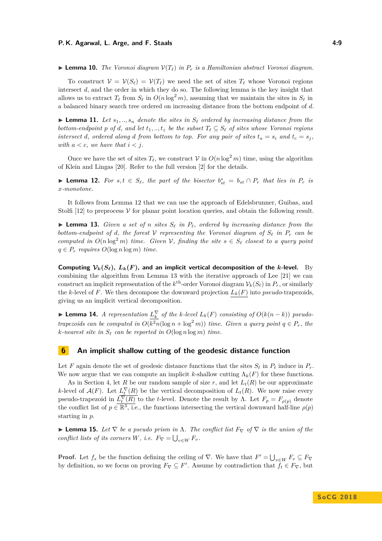$\triangleright$  **Lemma 10.** *The Voronoi diagram*  $V(T_\ell)$  *in*  $P_r$  *is a Hamiltonian abstract Voronoi diagram.* 

To construct  $V = V(S_\ell) = V(T_\ell)$  we need the set of sites  $T_\ell$  whose Voronoi regions intersect *d*, and the order in which they do so. The following lemma is the key insight that allows us to extract  $T_\ell$  from  $S_\ell$  in  $O(n \log^2 m)$ , assuming that we maintain the sites in  $S_\ell$  in a balanced binary search tree ordered on increasing distance from the bottom endpoint of *d*.

<span id="page-8-5"></span>**If Lemma 11.** Let  $s_1, \ldots, s_n$  denote the sites in  $S_\ell$  ordered by increasing distance from the *bottom-endpoint*  $p$  *of*  $d$ *, and let*  $t_1, \ldots, t_z$  *be the subset*  $T_\ell \subseteq S_\ell$  *of sites whose Voronoi regions intersect d*, ordered along *d* from bottom to top. For any pair of sites  $t_a = s_i$  and  $t_c = s_j$ . *with*  $a < c$ *, we have that*  $i < j$ *.* 

Once we have the set of sites  $T_\ell$ , we construct V in  $O(n \log^2 m)$  time, using the algorithm of Klein and Lingas [\[20\]](#page-13-11). Refer to the full version [\[2\]](#page-12-9) for the details.

<span id="page-8-1"></span>▶ **Lemma 12.** For  $s, t \in S_\ell$ , the part of the bisector  $b_{st}^* = b_{st} \cap P_r$  that lies in  $P_r$  is *x-monotone.*

It follows from Lemma [12](#page-8-1) that we can use the approach of Edelsbrunner, Guibas, and Stolfi [\[12\]](#page-12-12) to preprocess  $\mathcal V$  for planar point location queries, and obtain the following result.

<span id="page-8-2"></span>**In Lemma 13.** Given a set of *n* sites  $S_{\ell}$  in  $P_{\ell}$ , ordered by increasing distance from the *bottom-endpoint of d, the forest*  $V$  *representing the Voronoi diagram of*  $S_{\ell}$  *in*  $P_r$  *can be computed in*  $O(n \log^2 m)$  *time. Given*  $V$ *, finding the site*  $s \in S_\ell$  *closest to a query point*  $q \in P_r$  *requires*  $O(\log n \log m)$  *time.* 

**Computing**  $\mathcal{V}_k(S_\ell)$ ,  $L_k(F)$ , and an implicit vertical decomposition of the *k*-level. By combining the algorithm from Lemma [13](#page-8-2) with the iterative approach of Lee [\[21\]](#page-13-7) we can construct an implicit representation of the  $k^{\text{th}}$ -order Voronoi diagram  $\mathcal{V}_k(S_\ell)$  in  $P_r$ , or similarly the *k*-level of *F*. We then decompose the downward projection  $L_k(F)$  into *pseudo*-trapezoids, giving us an implicit vertical decomposition.

<span id="page-8-4"></span>▶ **Lemma 14.** *A representation*  $L_k^{\nabla}$  *of the k*-level  $L_k(F)$  *consisting of*  $O(k(n-k))$  *pseudotrapezoids can be computed in*  $O(k^2n(\log n + \log^2 m))$  *time. Given a query point*  $q \in P_r$ *, the k*-nearest site in  $S_\ell$  can be reported in  $O(\log n \log m)$  time.

### <span id="page-8-0"></span>**6 An implicit shallow cutting of the geodesic distance function**

Let *F* again denote the set of geodesic distance functions that the sites  $S_\ell$  in  $P_\ell$  induce in  $P_r$ . We now argue that we can compute an implicit *k*-shallow cutting  $\Lambda_k(F)$  for these functions.

As in Section [4,](#page-6-3) let *R* be our random sample of size *r*, and let  $L_t(R)$  be our approximate *k*-level of  $\mathcal{A}(F)$ . Let  $L_t^{\nabla}(R)$  be the vertical decomposition of  $L_t(R)$ . We now raise every pseudo-trapezoid in  $\overline{L_t^{\nabla}(R)}$  to the *t*-level. Denote the result by Λ. Let  $F_p = F_{\rho(p)}$  denote the conflict list of  $p \in \overline{\mathbb{R}^3}$ , i.e., the functions intersecting the vertical downward half-line  $\rho(p)$ starting in *p*.

<span id="page-8-3"></span>**► Lemma 15.** Let  $\nabla$  be a pseudo prism in  $\Lambda$ . The conflict list  $F_{\nabla}$  of  $\nabla$  is the union of the *conflict lists of its corners W, i.e.*  $F_{\nabla} = \bigcup_{v \in W} F_v$ .

**Proof.** Let  $f_s$  be the function defining the ceiling of  $\nabla$ . We have that  $F' = \bigcup_{v \in W} F_v \subseteq F_{\nabla}$ by definition, so we focus on proving  $F_{\nabla} \subseteq F'$ . Assume by contradiction that  $f_t \in F_{\nabla}$ , but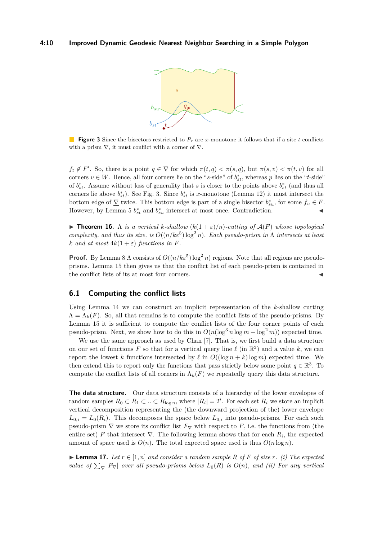<span id="page-9-0"></span>

**Figure 3** Since the bisectors restricted to *P<sup>r</sup>* are *x*-monotone it follows that if a site *t* conflicts with a prism  $\nabla$ , it must conflict with a corner of  $\nabla$ .

 $f_t \notin F'$ . So, there is a point  $q \in \overline{\mathcal{Y}}$  for which  $\pi(t,q) < \pi(s,q)$ , but  $\pi(s,v) < \pi(t,v)$  for all corners  $v \in W$ . Hence, all four corners lie on the "*s*-side" of  $b_{st}^*$ , whereas *p* lies on the "*t*-side" of  $b_{st}^*$ . Assume without loss of generality that *s* is closer to the points above  $b_{st}^*$  (and thus all corners lie above  $b_{st}^*$ ). See Fig. [3.](#page-9-0) Since  $b_{st}^*$  is *x*-monotone (Lemma [12\)](#page-8-1) it must intersect the bottom edge of  $\Sigma$  twice. This bottom edge is part of a single bisector  $b_{su}^*$ , for some  $f_u \in F$ . However, by Lemma [5](#page-6-0)  $b_{st}^*$  and  $b_{su}^*$  intersect at most once. Contradiction.

<span id="page-9-2"></span> $\triangleright$  **Theorem 16.**  $\Lambda$  *is a vertical k-shallow*  $(k(1+\varepsilon)/n)$ *-cutting of*  $\mathcal{A}(F)$  *whose topological complexity, and thus its size, is*  $O((n/k\varepsilon^5) \log^2 n)$ *. Each pseudo-prism in*  $\Lambda$  *intersects at least k and at most*  $4k(1+\varepsilon)$  *functions in F.* 

**Proof.** By Lemma [8](#page-7-1)  $\Lambda$  consists of  $O((n/k\varepsilon^5) \log^2 n)$  regions. Note that all regions are pseudoprisms. Lemma [15](#page-8-3) then gives us that the conflict list of each pseudo-prism is contained in the conflict lists of its at most four corners.

### **6.1 Computing the conflict lists**

Using Lemma [14](#page-8-4) we can construct an implicit representation of the *k*-shallow cutting  $\Lambda = \Lambda_k(F)$ . So, all that remains is to compute the conflict lists of the pseudo-prisms. By Lemma [15](#page-8-3) it is sufficient to compute the conflict lists of the four corner points of each pseudo-prism. Next, we show how to do this in  $O(n(\log^3 n \log m + \log^2 m))$  expected time.

We use the same approach as used by Chan [\[7\]](#page-12-8). That is, we first build a data structure on our set of functions F so that for a vertical query line  $\ell$  (in  $\mathbb{R}^3$ ) and a value k, we can report the lowest *k* functions intersected by  $\ell$  in  $O((\log n + k) \log m)$  expected time. We then extend this to report only the functions that pass strictly below some point  $q \in \mathbb{R}^3$ . To compute the conflict lists of all corners in  $\Lambda_k(F)$  we repeatedly query this data structure.

**The data structure.** Our data structure consists of a hierarchy of the lower envelopes of random samples  $R_0 \subset R_1 \subset \ldots \subset R_{\log n}$ , where  $|R_i| = 2^i$ . For each set  $R_i$  we store an implicit vertical decomposition representing the (the downward projection of the) lower envelope  $L_{0,i} = L_0(R_i)$ . This decomposes the space below  $L_{0,i}$  into pseudo-prisms. For each such pseudo-prism  $\nabla$  we store its conflict list  $F_{\nabla}$  with respect to *F*, i.e. the functions from (the entire set) *F* that intersect  $\nabla$ . The following lemma shows that for each  $R_i$ , the expected amount of space used is  $O(n)$ . The total expected space used is thus  $O(n \log n)$ .

<span id="page-9-1"></span>► **Lemma 17.** Let  $r \in [1, n]$  and consider a random sample R of F of size r. (i) The expected *value of*  $\sum_{\nabla} |F_{\nabla}|$  *over all pseudo-prisms below*  $L_0(R)$  *is*  $O(n)$ *, and (ii) For any vertical*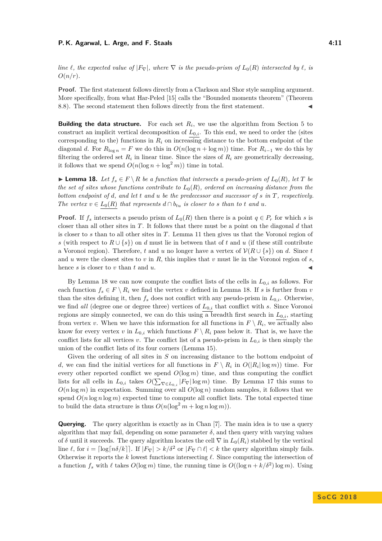#### **P. K. Agarwal, L. Arge, and F. Staals 4:11** 4:11

*line*  $\ell$ , the expected value of  $|F_{\nabla}|$ , where  $\nabla$  *is the pseudo-prism of*  $L_0(R)$  *intersected by*  $\ell$ , *is O*(*n/r*)*.*

Proof. The first statement follows directly from a Clarkson and Shor style sampling argument. More specifically, from what Har-Peled [\[15\]](#page-13-9) calls the "Bounded moments theorem" (Theorem 8.8). The second statement then follows directly from the first statement.

**Building the data structure.** For each set  $R_i$ , we use the algorithm from Section [5](#page-7-0) to construct an implicit vertical decomposition of  $L_{0,i}$ . To this end, we need to order the (sites corresponding to the) functions in *R<sup>i</sup>* on increasing distance to the bottom endpoint of the diagonal *d*. For  $R_{\text{log } n} = F$  we do this in  $O(n(\log n + \log m))$  time. For  $R_{i-1}$  we do this by filtering the ordered set  $R_i$  in linear time. Since the sizes of  $R_i$  are geometrically decreasing, it follows that we spend  $O(n(\log n + \log^2 m))$  time in total.

<span id="page-10-0"></span>► **Lemma 18.** Let  $f_s \in F \setminus R$  be a function that intersects a pseudo-prism of  $L_0(R)$ , let T be *the set of sites whose functions contribute to*  $L_0(R)$ *, ordered on increasing distance from the bottom endpoint of d, and let t and u be the predecessor and successor of s in T, respectively. The vertex*  $v \in L_0(R)$  *that represents*  $d \cap b_{tu}$  *is closer to s than to t and u.* 

**Proof.** If  $f_s$  intersects a pseudo prism of  $L_0(R)$  then there is a point  $q \in P_r$  for which *s* is closer than all other sites in *T*. It follows that there must be a point on the diagonal *d* that is closer to *s* than to all other sites in *T*. Lemma [11](#page-8-5) then gives us that the Voronoi region of *s* (with respect to  $R \cup \{s\}$ ) on *d* must lie in between that of *t* and *u* (if these still contribute a Voronoi region). Therefore, *t* and *u* no longer have a vertex of  $\mathcal{V}(R \cup \{s\})$  on *d*. Since *t* and *u* were the closest sites to *v* in *R*, this implies that *v* must lie in the Voronoi region of *s*. hence  $s$  is closer to  $v$  than  $t$  and  $u$ .

By Lemma [18](#page-10-0) we can now compute the conflict lists of the cells in  $L_{0,i}$  as follows. For each function  $f_s \in F \setminus R_i$  we find the vertex *v* defined in Lemma [18.](#page-10-0) If *s* is further from *v* than the sites defining it, then  $f_s$  does not conflict with any pseudo-prism in  $L_{0,i}$ . Otherwise, we find *all* (degree one or degree three) vertices of *L*0*,i* that conflict with *s*. Since Voronoi regions are simply connected, we can do this using a breadth first search in  $L_{0,i}$ , starting from vertex *v*. When we have this information for all functions in  $F \setminus R_i$ , we actually also know for every vertex *v* in  $L_{0,i}$  which functions  $F \setminus R_i$  pass below it. That is, we have the conflict lists for all vertices *v*. The conflict list of a pseudo-prism in  $L_{0,i}$  is then simply the union of the conflict lists of its four corners (Lemma [15\)](#page-8-3).

Given the ordering of all sites in *S* on increasing distance to the bottom endpoint of *d*, we can find the initial vertices for all functions in  $F \setminus R_i$  in  $O(|R_i| \log m)$  time. For every other reported conflict we spend  $O(\log m)$  time, and thus computing the conflict lists for all cells in  $L_{0,i}$  takes  $O(\sum_{\nabla \in L_{0,i}} |F_{\nabla}|\log m)$  time. By Lemma [17](#page-9-1) this sums to  $O(n \log m)$  in expectation. Summing over all  $O(\log n)$  random samples, it follows that we spend  $O(n \log n \log m)$  expected time to compute all conflict lists. The total expected time to build the data structure is thus  $O(n(\log^2 m + \log n \log m))$ .

**Querying.** The query algorithm is exactly as in Chan [\[7\]](#page-12-8). The main idea is to use a query algorithm that may fail, depending on some parameter  $\delta$ , and then query with varying values of  $\delta$  until it succeeds. The query algorithm locates the cell  $\nabla$  in  $L_0(R_i)$  stabbed by the vertical line  $\ell$ , for  $i = \lceil \log \lceil n\delta/k \rceil \rceil$ . If  $|F_{\nabla}| > k/\delta^2$  or  $|F_{\nabla} \cap \ell| < k$  the query algorithm simply fails. Otherwise it reports the  $k$  lowest functions intersecting  $\ell$ . Since computing the intersection of a function  $f_s$  with  $\ell$  takes  $O(\log m)$  time, the running time is  $O((\log n + k/\delta^2) \log m)$ . Using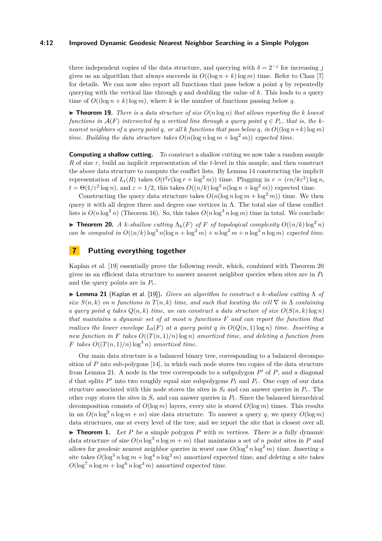#### **4:12 Improved Dynamic Geodesic Nearest Neighbor Searching in a Simple Polygon**

three independent copies of the data structure, and querying with  $\delta = 2^{-j}$  for increasing *j* gives us an algorithm that always succeeds in  $O((\log n + k)\log m)$  time. Refer to Chan [\[7\]](#page-12-8) for details. We can now also report all functions that pass below a point *q* by repeatedly querying with the vertical line through  $q$  and doubling the value of  $k$ . This leads to a query time of  $O((\log n + k) \log m)$ , where *k* is the number of functions passing below *q*.

 $\triangleright$  **Theorem 19.** *There is a data structure of size*  $O(n \log n)$  *that allows reporting the k lowest functions in*  $\mathcal{A}(F)$  *intersected by a vertical line through a query point*  $q \in P_r$ *, that is, the knearest neighbors of a query point q, or all k functions that pass below q, in*  $O((\log n + k)\log m)$ *time. Building the data structure takes*  $O(n(\log n \log m + \log^2 m))$  *expected time.* 

**Computing a shallow cutting.** To construct a shallow cutting we now take a random sample *R* of size *r*, build an implicit representation of the *t*-level in this sample, and then construct the above data structure to compute the conflict lists. By Lemma [14](#page-8-4) constructing the implicit representation of  $L_t(R)$  takes  $O(t^2 r (\log r + \log^2 m))$  time. Plugging in  $r = (cn/k\varepsilon^2) \log n$ ,  $t = \Theta(1/\varepsilon^2 \log n)$ , and  $\varepsilon = 1/2$ , this takes  $O((n/k) \log^3 n(\log n + \log^2 m))$  expected time.

Constructing the query data structure takes  $O(n(\log n \log m + \log^2 m))$  time. We then query it with all degree three and degree one vertices in  $\Lambda$ . The total size of these conflict lists is  $O(n \log^2 n)$  (Theorem [16\)](#page-9-2). So, this takes  $O(n \log^3 n \log m)$  time in total. We conclude:

<span id="page-11-1"></span>**Find 10.** *A k*-shallow cutting  $\Lambda_k(F)$  of *F* of topological complexity  $O((n/k)\log^2 n)$ *can be computed in*  $O((n/k)\log^3 n(\log n + \log^2 m) + n \log^2 m + n \log^3 n \log m)$  *expected time.* 

# <span id="page-11-0"></span>**7 Putting everything together**

Kaplan et al. [\[19\]](#page-13-4) essentially prove the following result, which, combined with Theorem [20](#page-11-1) gives us an efficient data structure to answer nearest neighbor queries when sites are in  $P_\ell$ and the query points are in *Pr*.

<span id="page-11-2"></span>I **Lemma 21** (Kaplan et al. [\[19\]](#page-13-4))**.** *Given an algorithm to construct a k-shallow cutting* Λ *of size*  $S(n, k)$  *on n* functions in  $T(n, k)$  *time, and such that locating the cell*  $\nabla$  *in*  $\Lambda$  *containing a query point q takes*  $Q(n, k)$  *time, we can construct a data structure of size*  $O(S(n, k) \log n)$ *that maintains a dynamic set of at most n functions F and can report the function that realizes the lower envelope*  $L_0(F)$  *at a query point q in*  $O(Q(n, 1) \log n)$  *time. Inserting a new function in* F *takes*  $O((T(n,1)/n) \log n)$  *amortized time, and deleting a function from F takes*  $O((T(n, 1)/n) \log^3 n)$  *amortized time.* 

Our main data structure is a balanced binary tree, corresponding to a balanced decomposition of  $P$  into sub-polygons  $[14]$ , in which each node stores two copies of the data structure from Lemma [21.](#page-11-2) A node in the tree corresponds to a subpolygon  $P'$  of  $P$ , and a diagonal *d* that splits  $P'$  into two roughly equal size subpolygons  $P_\ell$  and  $P_r$ . One copy of our data structure associated with this node stores the sites in  $S_\ell$  and can answer queries in  $P_r$ . The other copy stores the sites in  $S_r$  and can answer queries in  $P_\ell$ . Since the balanced hierarchical decomposition consists of  $O(\log m)$  layers, every site is stored  $O(\log m)$  times. This results in an  $O(n \log^3 n \log m + m)$  size data structure. To answer a query q, we query  $O(\log m)$ data structures, one at every level of the tree, and we report the site that is closest over all. **Theorem [1.](#page-3-1)** Let *P* be a simple polygon *P* with *m* vertices. There is a fully dynamic data structure of size  $O(n \log^3 n \log m + m)$  that maintains a set of *n* point sites in *P* and allows for geodesic nearest neighbor queries in worst case  $O(\log^2 n \log^2 m)$  time. Inserting a site takes  $O(\log^5 n \log m + \log^4 n \log^3 m)$  amortized expected time, and deleting a site takes  $O(\log^7 n \log m + \log^6 n \log^3 m)$  amortized expected time.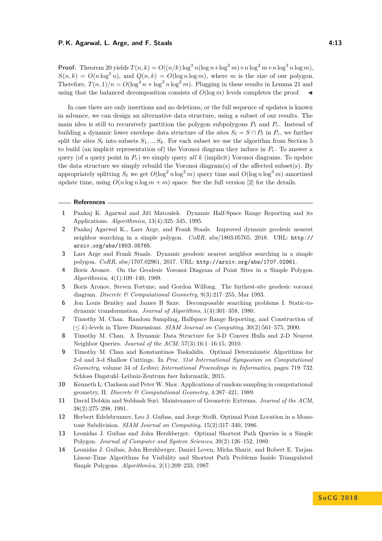**Proof.** Theorem [20](#page-11-1) yields  $T(n,k) = O((n/k)\log^3 n(\log n + \log^2 m) + n\log^2 m + n\log^3 n\log m)$ ,  $S(n, k) = O(n \log^2 n)$ , and  $Q(n, k) = O(\log n \log m)$ , where *m* is the size of our polygon. Therefore,  $T(n, 1)/n = O(\log^4 n + \log^3 n \log^2 m)$ . Plugging in these results in Lemma [21](#page-11-2) and using that the balanced decomposition consists of  $O(\log m)$  levels completes the proof.

In case there are only insertions and no deletions, or the full sequence of updates is known in advance, we can design an alternative data structure, using a subset of our results. The main idea is still to recursively partition the polygon subpolygons  $P_\ell$  and  $P_r$ . Instead of building a dynamic lower envelope data structure of the sites  $S_\ell = S \cap P_\ell$  in  $P_r$ , we further split the sites  $S_\ell$  into subsets  $S_1, ..., S_k$ . For each subset we use the algorithm from Section [5](#page-7-0) to build (an implicit representation of) the Voronoi diagram they induce in  $P_r$ . To answer a query (of a query point in *Pr*) we simply query *all k* (implicit) Voronoi diagrams. To update the data structure we simply rebuild the Voronoi diagram(s) of the affected subset(s). By appropriately splitting  $S_\ell$  we get  $O(\log^2 n \log^2 m)$  query time and  $O(\log n \log^3 m)$  amortized update time, using  $O(n \log n \log m + m)$  space. See the full version [\[2\]](#page-12-9) for the details.

#### **References**

- <span id="page-12-2"></span>**1** Pankaj K. Agarwal and Jiří Matoušek. Dynamic Half-Space Range Reporting and its Applications. *Algorithmica*, 13(4):325–345, 1995.
- <span id="page-12-9"></span>**2** Pankaj Agarwal K., Lars Arge, and Frank Staals. Improved dynamic geodesic nearest neighbor searching in a simple polygon. *CoRR*, abs/1803.05765, 2018. URL: [http://](http://arxiv.org/abs/1803.05765) [arxiv.org/abs/1803.05765](http://arxiv.org/abs/1803.05765).
- <span id="page-12-5"></span>**3** Lars Arge and Frank Staals. Dynamic geodesic nearest neighbor searching in a simple polygon. *CoRR*, abs/1707.02961, 2017. URL: <http://arxiv.org/abs/1707.02961>.
- <span id="page-12-0"></span>**4** Boris Aronov. On the Geodesic Voronoi Diagram of Point Sites in a Simple Polygon. *Algorithmica*, 4(1):109–140, 1989.
- <span id="page-12-10"></span>**5** Boris Aronov, Steven Fortune, and Gordon Wilfong. The furthest-site geodesic voronoi diagram. *Discrete & Computational Geometry*, 9(3):217–255, Mar 1993.
- <span id="page-12-1"></span>**6** Jon Louis Bentley and James B Saxe. Decomposable searching problems I. Static-todynamic transformation. *Journal of Algorithms*, 1(4):301–358, 1980.
- <span id="page-12-8"></span>**7** Timothy M. Chan. Random Sampling, Halfspace Range Reporting, and Construction of (≤ *k*)-levels in Three Dimensions. *SIAM Journal on Computing*, 30(2):561–575, 2000.
- <span id="page-12-3"></span>**8** Timothy M. Chan. A Dynamic Data Structure for 3-D Convex Hulls and 2-D Nearest Neighbor Queries. *Journal of the ACM*, 57(3):16:1–16:15, 2010.
- <span id="page-12-7"></span>**9** Timothy M. Chan and Konstantinos Tsakalidis. Optimal Deterministic Algorithms for 2-d and 3-d Shallow Cuttings. In *Proc. 31st International Symposium on Computational Geometry*, volume 34 of *Leibniz International Proceedings in Informatics*, pages 719–732. Schloss Dagstuhl–Leibniz-Zentrum fuer Informatik, 2015.
- <span id="page-12-11"></span>**10** Kenneth L. Clarkson and Peter W. Shor. Applications of random sampling in computational geometry, II. *Discrete & Computational Geometry*, 4:387–421, 1989.
- <span id="page-12-4"></span>**11** David Dobkin and Subhash Suri. Maintenance of Geometric Extrema. *Journal of the ACM*, 38(2):275–298, 1991.
- <span id="page-12-12"></span>**12** Herbert Edelsbrunner, Leo J. Guibas, and Jorge Stolfi. Optimal Point Location in a Monotone Subdivision. *SIAM Journal on Computing*, 15(2):317–340, 1986.
- <span id="page-12-6"></span>**13** Leonidas J. Guibas and John Hershberger. Optimal Shortest Path Queries in a Simple Polygon. *Journal of Computer and System Sciences*, 39(2):126–152, 1989.
- <span id="page-12-13"></span>**14** Leonidas J. Guibas, John Hershberger, Daniel Leven, Micha Sharir, and Robert E. Tarjan. Linear-Time Algorithms for Visibility and Shortest Path Problems Inside Triangulated Simple Polygons. *Algorithmica*, 2(1):209–233, 1987.